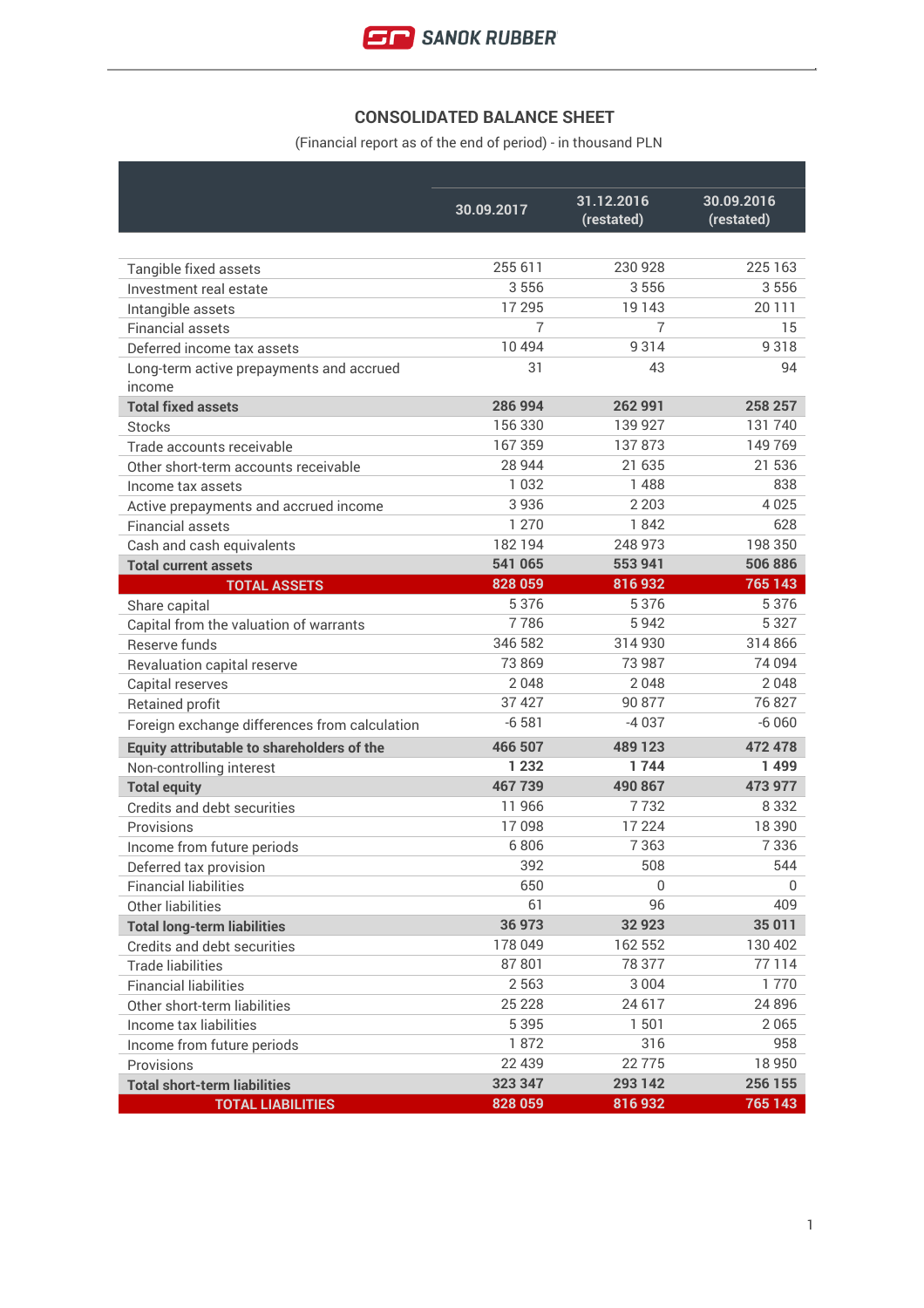## **CONSOLIDATED BALANCE SHEET**

(Financial report as of the end of period) - in thousand PLN

|                                               | 30.09.2017     | 31.12.2016<br>(restated) | 30.09.2016<br>(restated) |
|-----------------------------------------------|----------------|--------------------------|--------------------------|
|                                               |                |                          |                          |
| Tangible fixed assets                         | 255 611        | 230 928                  | 225 163                  |
| Investment real estate                        | 3556           | 3556                     | 3556                     |
| Intangible assets                             | 17 295         | 19 143                   | 20 111                   |
| <b>Financial assets</b>                       | $\overline{7}$ | 7                        | 15                       |
| Deferred income tax assets                    | 10 4 9 4       | 9314                     | 9318                     |
| Long-term active prepayments and accrued      | 31             | 43                       | 94                       |
| income                                        |                |                          |                          |
| <b>Total fixed assets</b>                     | 286 994        | 262 991                  | 258 257                  |
| <b>Stocks</b>                                 | 156 330        | 139 927                  | 131740                   |
| Trade accounts receivable                     | 167359         | 137873                   | 149769                   |
| Other short-term accounts receivable          | 28 944         | 21 635                   | 21 536                   |
| Income tax assets                             | 1 0 3 2        | 1488                     | 838                      |
| Active prepayments and accrued income         | 3936           | 2 2 0 3                  | 4025                     |
| <b>Financial assets</b>                       | 1 2 7 0        | 1842                     | 628                      |
| Cash and cash equivalents                     | 182194         | 248 973                  | 198 350                  |
| <b>Total current assets</b>                   | 541 065        | 553 941                  | 506 886                  |
| <b>TOTAL ASSETS</b>                           | 828 059        | 816932                   | 765 143                  |
| Share capital                                 | 5 3 7 6        | 5 3 7 6                  | 5376                     |
| Capital from the valuation of warrants        | 7786           | 5942                     | 5 3 2 7                  |
| Reserve funds                                 | 346 582        | 314 930                  | 314866                   |
| Revaluation capital reserve                   | 73 869         | 73 987                   | 74 094                   |
| Capital reserves                              | 2048           | 2048                     | 2048                     |
| Retained profit                               | 37 427         | 90 877                   | 76827                    |
| Foreign exchange differences from calculation | $-6581$        | $-4037$                  | $-6060$                  |
| Equity attributable to shareholders of the    | 466 507        | 489 123                  | 472 478                  |
| Non-controlling interest                      | 1 2 3 2        | 1744                     | 1499                     |
| <b>Total equity</b>                           | 467739         | 490 867                  | 473 977                  |
| Credits and debt securities                   | 11966          | 7 7 3 2                  | 8 3 3 2                  |
| Provisions                                    | 17098          | 17 224                   | 18 3 9 0                 |
| Income from future periods                    | 6806           | 7 3 6 3                  | 7336                     |
| Deferred tax provision                        | 392            | 508                      | 544                      |
| <b>Financial liabilities</b>                  | 650            | $\Omega$                 | 0                        |
| Other liabilities                             | 61             | 96                       | 409                      |
| <b>Total long-term liabilities</b>            | 36 973         | 32 923                   | 35 011                   |
| Credits and debt securities                   | 178 049        | 162 552                  | 130 402                  |
| <b>Trade liabilities</b>                      | 87801          | 78 377                   | 77114                    |
| <b>Financial liabilities</b>                  | 2 5 6 3        | 3 0 0 4                  | 1770                     |
| Other short-term liabilities                  | 25 2 28        | 24 617                   | 24 8 96                  |
| Income tax liabilities                        | 5 3 9 5        | 1 501                    | 2065                     |
| Income from future periods                    | 1872           | 316                      | 958                      |
| Provisions                                    | 22 4 39        | 22 7 7 5                 | 18950                    |
| <b>Total short-term liabilities</b>           | 323 347        | 293 142                  | 256 155                  |
| <b>TOTAL LIABILITIES</b>                      | 828 059        | 816932                   | 765 143                  |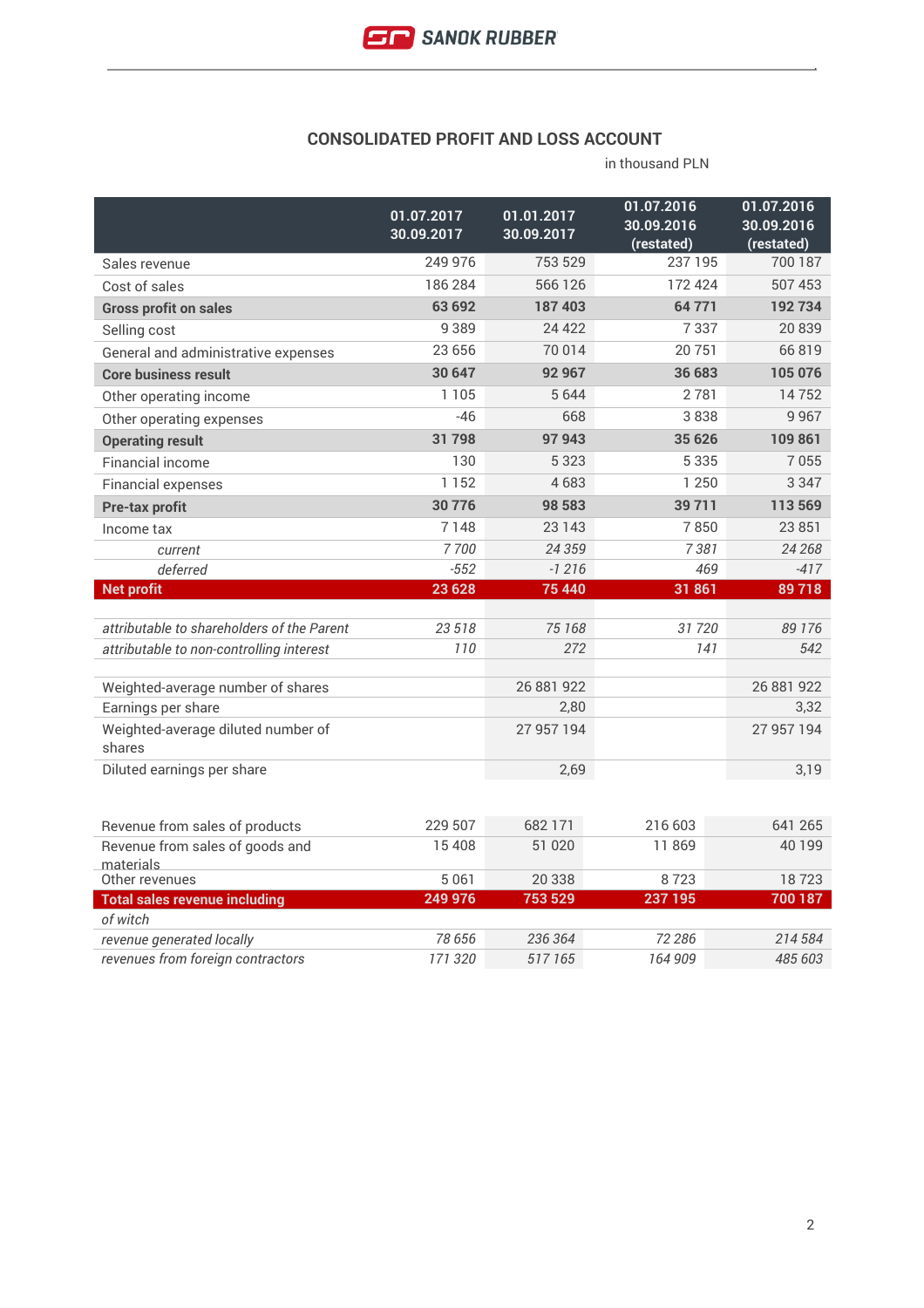#### **CONSOLIDATED PROFIT AND LOSS ACCOUNT**

|                                              | 01.07.2017<br>30.09.2017 | 01.01.2017<br>30.09.2017 | 01.07.2016<br>30.09.2016<br>(restated) | 01.07.2016<br>30.09.2016<br>(restated) |
|----------------------------------------------|--------------------------|--------------------------|----------------------------------------|----------------------------------------|
| Sales revenue                                | 249 976                  | 753 529                  | 237195                                 | 700 187                                |
| Cost of sales                                | 186 284                  | 566 126                  | 172 424                                | 507 453                                |
| <b>Gross profit on sales</b>                 | 63 692                   | 187 403                  | 64 771                                 | 192734                                 |
| Selling cost                                 | 9389                     | 24 4 22                  | 7337                                   | 20 839                                 |
| General and administrative expenses          | 23 656                   | 70 014                   | 20751                                  | 66819                                  |
| <b>Core business result</b>                  | 30 647                   | 92 967                   | 36 683                                 | 105 076                                |
| Other operating income                       | 1 1 0 5                  | 5644                     | 2781                                   | 14752                                  |
| Other operating expenses                     | $-46$                    | 668                      | 3838                                   | 9967                                   |
| <b>Operating result</b>                      | 31798                    | 97 943                   | 35 626                                 | 109 861                                |
| <b>Financial income</b>                      | 130                      | 5 3 2 3                  | 5 3 3 5                                | 7055                                   |
| <b>Financial expenses</b>                    | 1152                     | 4683                     | 1 2 5 0                                | 3 3 4 7                                |
| <b>Pre-tax profit</b>                        | 30776                    | 98 583                   | 39 7 11                                | 113 569                                |
| Income tax                                   | 7148                     | 23 1 43                  | 7850                                   | 23 851                                 |
| current                                      | 7700                     | 24 359                   | 7381                                   | 24 268                                 |
| deferred                                     | $-552$                   | $-1216$                  | 469                                    | $-417$                                 |
| <b>Net profit</b>                            | 23 6 28                  | 75 440                   | 31 861                                 | 89718                                  |
|                                              |                          |                          |                                        |                                        |
| attributable to shareholders of the Parent   | 23 518<br>110            | 75 168<br>272            | 31720                                  | 89 176<br>542                          |
| attributable to non-controlling interest     |                          |                          | 141                                    |                                        |
| Weighted-average number of shares            |                          | 26 881 922               |                                        | 26 881 922                             |
| Earnings per share                           |                          | 2,80                     |                                        | 3,32                                   |
| Weighted-average diluted number of<br>shares |                          | 27 957 194               |                                        | 27 957 194                             |
| Diluted earnings per share                   |                          | 2,69                     |                                        | 3,19                                   |
|                                              |                          |                          |                                        |                                        |
| Revenue from sales of products               | 229 507                  | 682 171                  | 216 603                                | 641 265                                |
| Revenue from sales of goods and<br>materials | 15 4 08                  | 51 020                   | 11869                                  | 40 199                                 |
| Other revenues                               | 5 0 6 1                  | 20 338                   | 8723                                   | 18723                                  |
| <b>Total sales revenue including</b>         | 249 976                  | 753 529                  | 237 195                                | 700 187                                |
| of witch                                     | 78 656                   |                          | 72 286                                 |                                        |
| revenue generated locally                    |                          | 236 364                  |                                        | 214 584                                |
| revenues from foreign contractors            | 171 320                  | 517 165                  | 164 909                                | 485 603                                |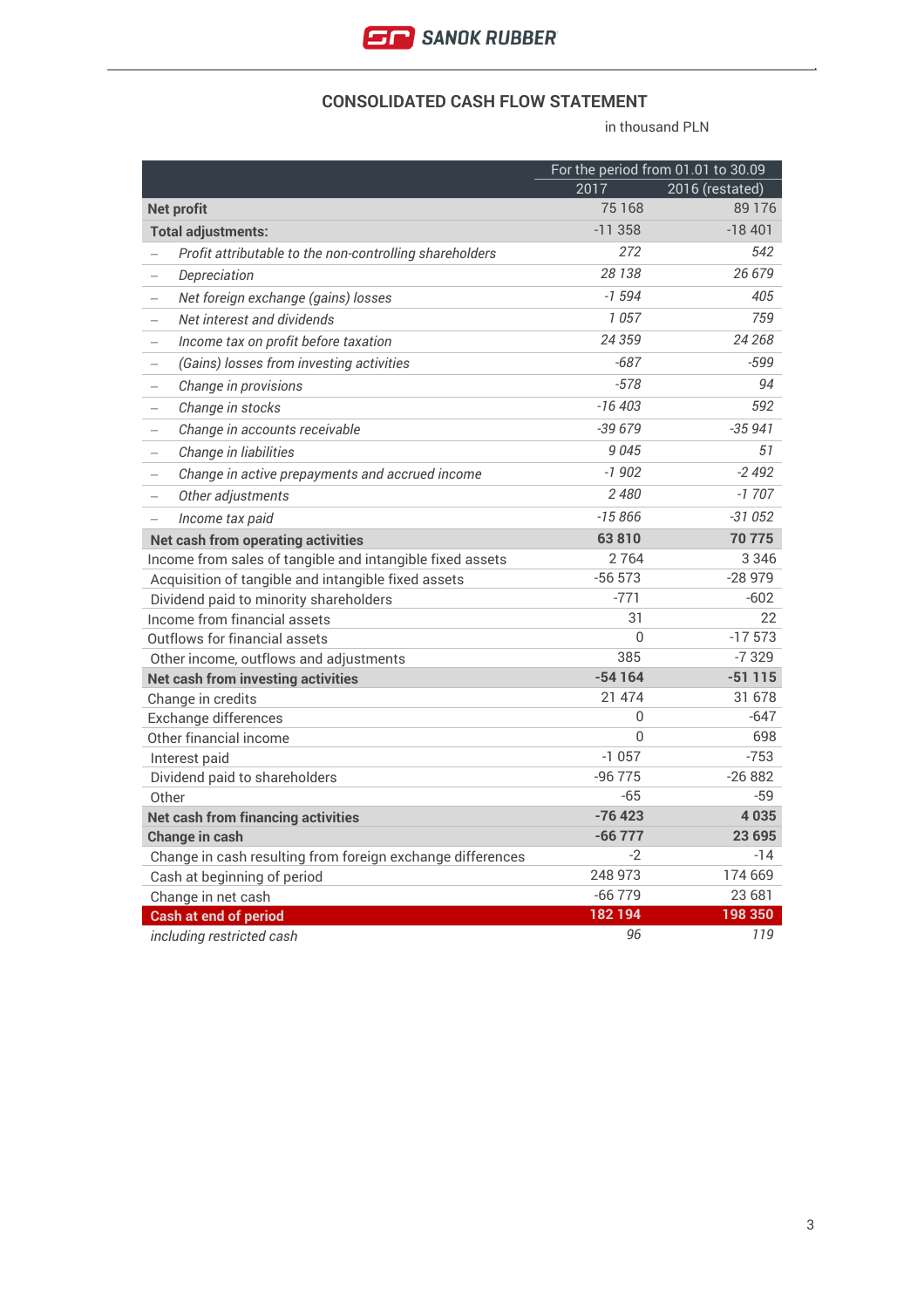

#### **CONSOLIDATED CASH FLOW STATEMENT**

|                                                                             |           | For the period from 01.01 to 30.09 |
|-----------------------------------------------------------------------------|-----------|------------------------------------|
|                                                                             | 2017      | 2016 (restated)                    |
| <b>Net profit</b>                                                           | 75 168    | 89 1 76                            |
| <b>Total adjustments:</b>                                                   | $-11.358$ | $-18401$                           |
| Profit attributable to the non-controlling shareholders                     | 272       | 542                                |
| Depreciation<br>$\overline{\phantom{0}}$                                    | 28 138    | 26 679                             |
| Net foreign exchange (gains) losses<br>$\overline{\phantom{0}}$             | $-1594$   | 405                                |
| Net interest and dividends<br>$\equiv$                                      | 1057      | 759                                |
| Income tax on profit before taxation<br>$\equiv$                            | 24 359    | 24 268                             |
| (Gains) losses from investing activities                                    | $-687$    | $-599$                             |
| Change in provisions                                                        | $-578$    | 94                                 |
| Change in stocks<br>$\overline{\phantom{0}}$                                | $-16403$  | 592                                |
| Change in accounts receivable                                               | $-39679$  | $-35941$                           |
| Change in liabilities<br>$\overline{\phantom{0}}$                           | 9045      | 51                                 |
| Change in active prepayments and accrued income<br>$\overline{\phantom{0}}$ | $-1902$   | $-2492$                            |
| Other adjustments<br>$\qquad \qquad -$                                      | 2480      | $-1707$                            |
| Income tax paid<br>$\overline{\phantom{0}}$                                 | $-15866$  | $-31052$                           |
| Net cash from operating activities                                          | 63810     | 70 775                             |
| Income from sales of tangible and intangible fixed assets                   | 2764      | 3 3 4 6                            |
| Acquisition of tangible and intangible fixed assets                         | $-56573$  | $-28979$                           |
| Dividend paid to minority shareholders                                      | $-771$    | $-602$                             |
| Income from financial assets                                                | 31        | 22                                 |
| Outflows for financial assets                                               | $\Omega$  | $-17573$                           |
| Other income, outflows and adjustments                                      | 385       | $-7329$                            |
| <b>Net cash from investing activities</b>                                   | $-54164$  | $-51115$                           |
| Change in credits                                                           | 21 474    | 31 678                             |
| Exchange differences                                                        | 0         | $-647$                             |
| Other financial income                                                      | $\Omega$  | 698                                |
| Interest paid                                                               | $-1057$   | $-753$                             |
| Dividend paid to shareholders                                               | $-96775$  | $-26882$                           |
| Other                                                                       | $-65$     | $-59$                              |
| <b>Net cash from financing activities</b>                                   | $-76423$  | 4035                               |
| <b>Change in cash</b>                                                       | $-66777$  | 23 6 95                            |
| Change in cash resulting from foreign exchange differences                  | $-2$      | $-14$                              |
| Cash at beginning of period                                                 | 248 973   | 174 669                            |
| Change in net cash                                                          | $-66779$  | 23 681                             |
| <b>Cash at end of period</b>                                                | 182194    | 198 350                            |
| including restricted cash                                                   | 96        | 119                                |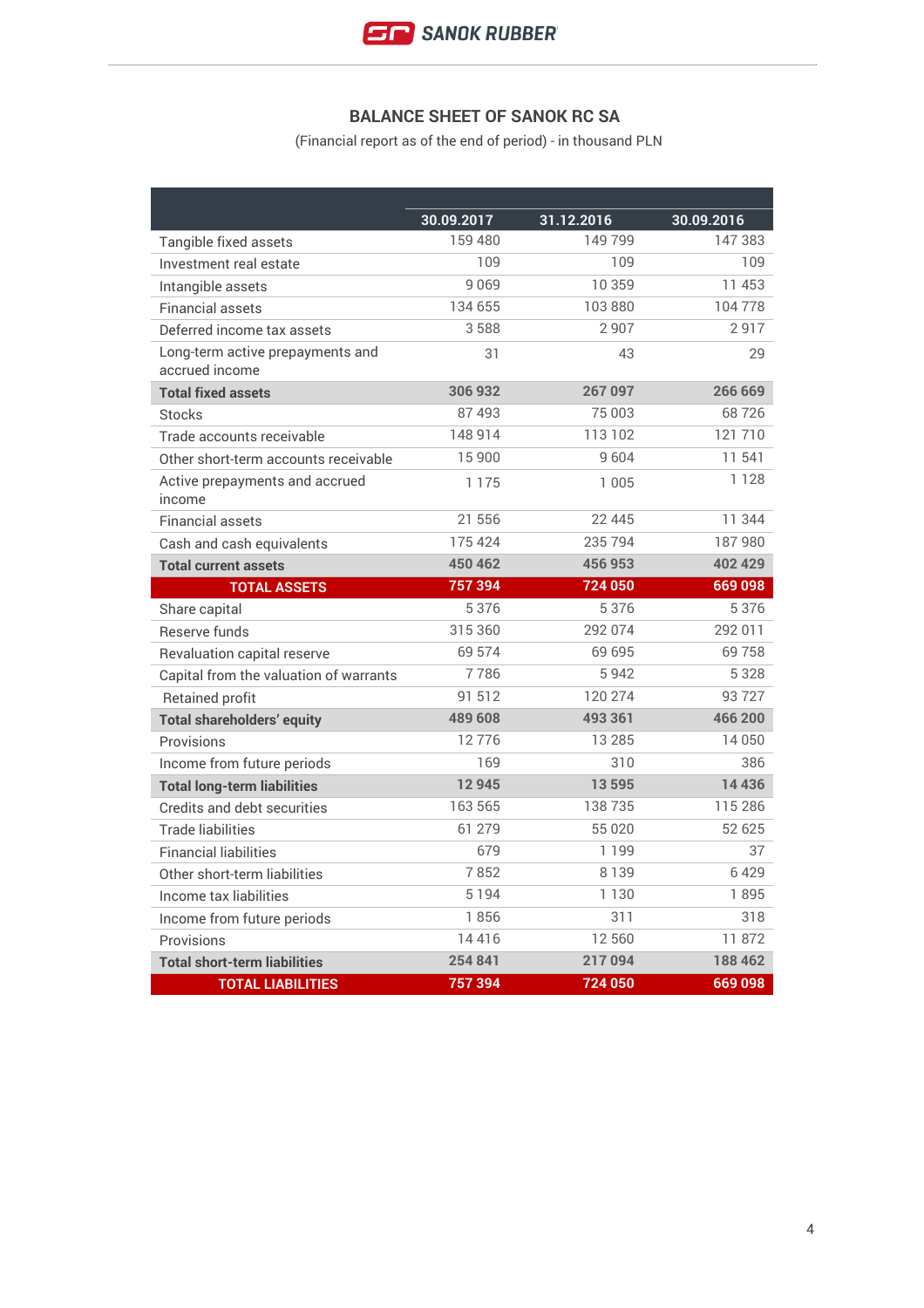

# **BALANCE SHEET OF SANOK RC SA**

(Financial report as of the end of period) - in thousand PLN

|                                                    | 30.09.2017 | 31.12.2016 | 30.09.2016 |
|----------------------------------------------------|------------|------------|------------|
| Tangible fixed assets                              | 159480     | 149 799    | 147383     |
| Investment real estate                             | 109        | 109        | 109        |
| Intangible assets                                  | 9069       | 10 359     | 11 453     |
| <b>Financial assets</b>                            | 134 655    | 103880     | 104778     |
| Deferred income tax assets                         | 3588       | 2907       | 2917       |
| Long-term active prepayments and<br>accrued income | 31         | 43         | 29         |
| <b>Total fixed assets</b>                          | 306 932    | 267 097    | 266 669    |
| <b>Stocks</b>                                      | 87493      | 75 003     | 68726      |
| Trade accounts receivable                          | 148 914    | 113 102    | 121710     |
| Other short-term accounts receivable               | 15 900     | 9604       | 11 541     |
| Active prepayments and accrued<br>income           | 1 1 7 5    | 1 0 0 5    | 1 1 2 8    |
| <b>Financial assets</b>                            | 21 556     | 22 445     | 11 344     |
| Cash and cash equivalents                          | 175 424    | 235 794    | 187980     |
| <b>Total current assets</b>                        | 450 462    | 456 953    | 402 429    |
| <b>TOTAL ASSETS</b>                                | 757 394    | 724 050    | 669 098    |
| Share capital                                      | 5 3 7 6    | 5376       | 5 3 7 6    |
| Reserve funds                                      | 315 360    | 292 074    | 292 011    |
| Revaluation capital reserve                        | 69 574     | 69 695     | 69758      |
| Capital from the valuation of warrants             | 7786       | 5942       | 5 3 2 8    |
| <b>Retained profit</b>                             | 91 512     | 120 274    | 93727      |
| <b>Total shareholders' equity</b>                  | 489 608    | 493 361    | 466 200    |
| Provisions                                         | 12776      | 13 285     | 14 050     |
| Income from future periods                         | 169        | 310        | 386        |
| <b>Total long-term liabilities</b>                 | 12945      | 13595      | 14 4 36    |
| Credits and debt securities                        | 163 565    | 138735     | 115 286    |
| <b>Trade liabilities</b>                           | 61 279     | 55 020     | 52 625     |
| <b>Financial liabilities</b>                       | 679        | 1 1 9 9    | 37         |
| Other short-term liabilities                       | 7852       | 8 1 3 9    | 6429       |
| Income tax liabilities                             | 5 1 9 4    | 1 1 3 0    | 1895       |
| Income from future periods                         | 1856       | 311        | 318        |
| Provisions                                         | 14416      | 12 560     | 11872      |
| <b>Total short-term liabilities</b>                | 254 841    | 217 094    | 188 462    |
| <b>TOTAL LIABILITIES</b>                           | 757 394    | 724 050    | 669 098    |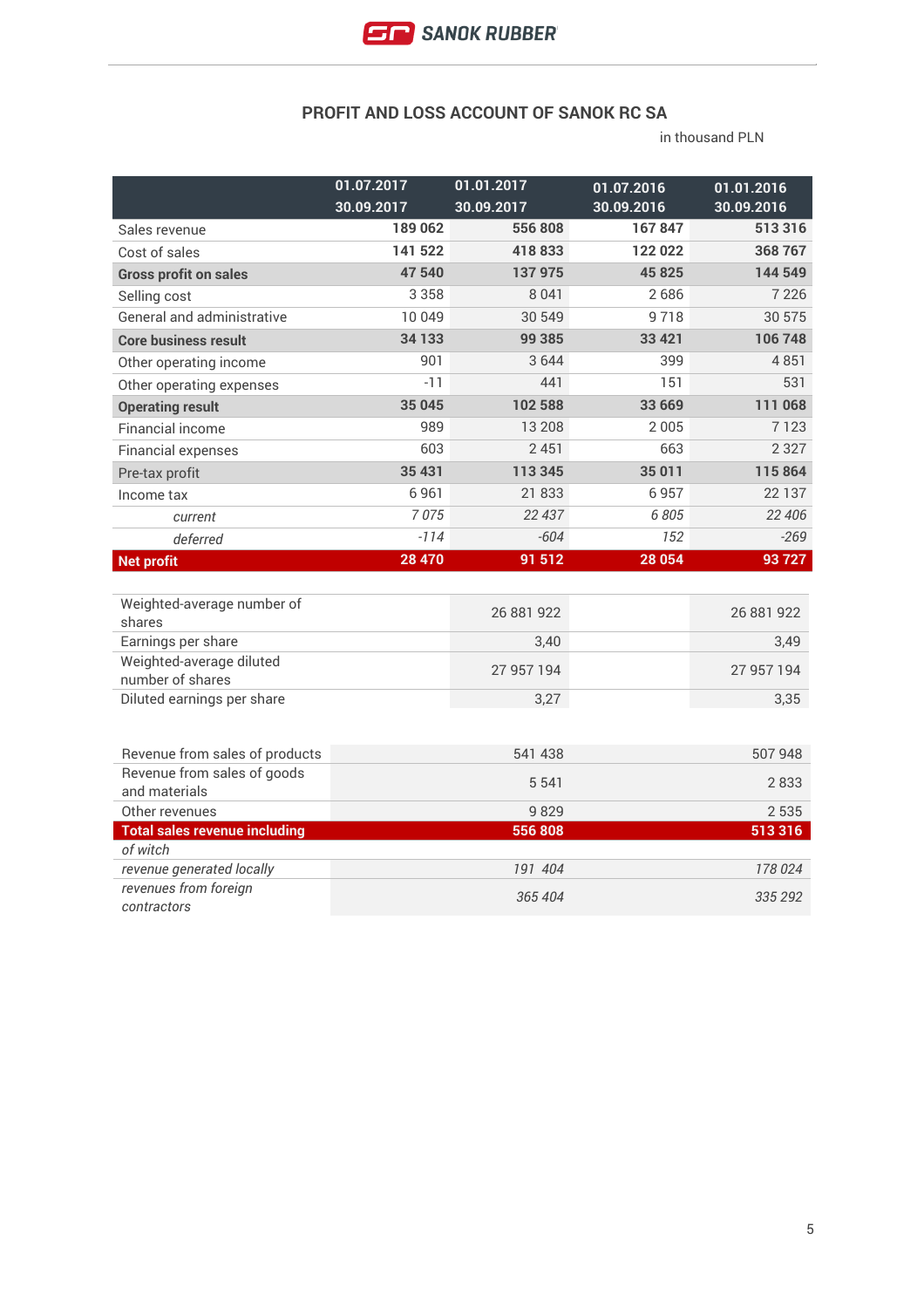

## **PROFIT AND LOSS ACCOUNT OF SANOK RC SA**

|                                                | 01.07.2017<br>30.09.2017 | 01.01.2017<br>30.09.2017 | 01.07.2016<br>30.09.2016 | 01.01.2016<br>30.09.2016 |
|------------------------------------------------|--------------------------|--------------------------|--------------------------|--------------------------|
| Sales revenue                                  | 189062                   | 556 808                  | 167847                   | 513316                   |
| Cost of sales                                  | 141 522                  | 418833                   | 122022                   | 368767                   |
| <b>Gross profit on sales</b>                   | 47 540                   | 137975                   | 45 825                   | 144 549                  |
| Selling cost                                   | 3 3 5 8                  | 8 0 4 1                  | 2686                     | 7 2 2 6                  |
| General and administrative                     | 10 049                   | 30 549                   | 9718                     | 30 575                   |
| <b>Core business result</b>                    | 34 1 33                  | 99 385                   | 33 4 21                  | 106748                   |
| Other operating income                         | 901                      | 3644                     | 399                      | 4851                     |
| Other operating expenses                       | $-11$                    | 441                      | 151                      | 531                      |
| <b>Operating result</b>                        | 35 045                   | 102 588                  | 33 669                   | 111 068                  |
| <b>Financial income</b>                        | 989                      | 13 208                   | 2005                     | 7123                     |
| <b>Financial expenses</b>                      | 603                      | 2451                     | 663                      | 2 3 2 7                  |
| Pre-tax profit                                 | 35 4 31                  | 113 345                  | 35 011                   | 115864                   |
| Income tax                                     | 6961                     | 21 833                   | 6957                     | 22 1 3 7                 |
| current                                        | 7075                     | 22 437                   | 6 8 0 5                  | 22 406                   |
| deferred                                       | $-114$                   | $-604$                   | 152                      | $-269$                   |
| <b>Net profit</b>                              | 28 4 70                  | 91 512                   | 28 054                   | 93727                    |
|                                                |                          |                          |                          |                          |
| Weighted-average number of                     |                          | 26 881 922               |                          | 26 881 922               |
| shares                                         |                          |                          |                          |                          |
| Earnings per share<br>Weighted-average diluted |                          | 3,40                     |                          | 3,49                     |
| number of shares                               |                          | 27 957 194               |                          | 27 957 194               |
| Diluted earnings per share                     |                          | 3,27                     |                          | 3,35                     |
|                                                |                          |                          |                          |                          |
| Revenue from sales of products                 |                          | 541 438                  |                          | 507 948                  |
| Revenue from sales of goods                    |                          |                          |                          |                          |
| and materials                                  |                          | 5 5 4 1                  |                          | 2833                     |
| Other revenues                                 |                          | 9829                     |                          | 2535                     |
| <b>Total sales revenue including</b>           |                          | 556 808                  |                          | 513316                   |
| of witch<br>revenue generated locally          |                          | 191 404                  |                          | 178 024                  |
| revenues from foreign                          |                          |                          |                          |                          |
| contractors                                    |                          | 365 404                  |                          | 335 292                  |